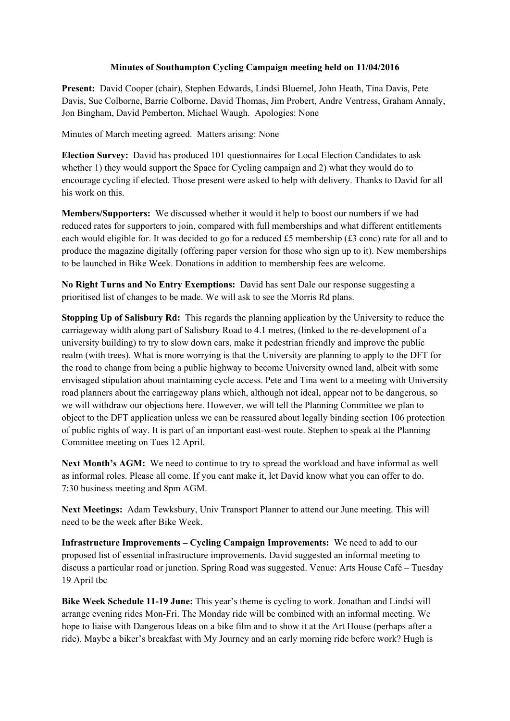## **Minutes of Southampton Cycling Campaign meeting held on 11/04/2016**

**Present:** David Cooper (chair), Stephen Edwards, Lindsi Bluemel, John Heath, Tina Davis, Pete Davis, Sue Colborne, Barrie Colborne, David Thomas, Jim Probert, Andre Ventress, Graham Annaly, Jon Bingham, David Pemberton, Michael Waugh. Apologies: None

Minutes of March meeting agreed. Matters arising: None

**Election Survey:** David has produced 101 questionnaires for Local Election Candidates to ask whether 1) they would support the Space for Cycling campaign and 2) what they would do to encourage cycling if elected. Those present were asked to help with delivery. Thanks to David for all his work on this.

**Members/Supporters:** We discussed whether it would it help to boost our numbers if we had reduced rates for supporters to join, compared with full memberships and what different entitlements each would eligible for. It was decided to go for a reduced £5 membership (£3 conc) rate for all and to produce the magazine digitally (offering paper version for those who sign up to it). New memberships to be launched in Bike Week. Donations in addition to membership fees are welcome.

**No Right Turns and No Entry Exemptions:** David has sent Dale our response suggesting a prioritised list of changes to be made. We will ask to see the Morris Rd plans.

**Stopping Up of Salisbury Rd:** This regards the planning application by the University to reduce the carriageway width along part of Salisbury Road to 4.1 metres, (linked to the re-development of a university building) to try to slow down cars, make it pedestrian friendly and improve the public realm (with trees). What is more worrying is that the University are planning to apply to the DFT for the road to change from being a public highway to become University owned land, albeit with some envisaged stipulation about maintaining cycle access. Pete and Tina went to a meeting with University road planners about the carriageway plans which, although not ideal, appear not to be dangerous, so we will withdraw our objections here. However, we will tell the Planning Committee we plan to object to the DFT application unless we can be reassured about legally binding section 106 protection of public rights of way. It is part of an important east-west route. Stephen to speak at the Planning Committee meeting on Tues 12 April.

**Next Month's AGM:** We need to continue to try to spread the workload and have informal as well as informal roles. Please all come. If you cant make it, let David know what you can offer to do. 7:30 business meeting and 8pm AGM.

**Next Meetings:** Adam Tewksbury, Univ Transport Planner to attend our June meeting. This will need to be the week after Bike Week.

**Infrastructure Improvements – Cycling Campaign Improvements:** We need to add to our proposed list of essential infrastructure improvements. David suggested an informal meeting to discuss a particular road or junction. Spring Road was suggested. Venue: Arts House Café – Tuesday 19 April tbc

**Bike Week Schedule 11-19 June:** This year's theme is cycling to work. Jonathan and Lindsi will arrange evening rides Mon-Fri. The Monday ride will be combined with an informal meeting. We hope to liaise with Dangerous Ideas on a bike film and to show it at the Art House (perhaps after a ride). Maybe a biker's breakfast with My Journey and an early morning ride before work? Hugh is